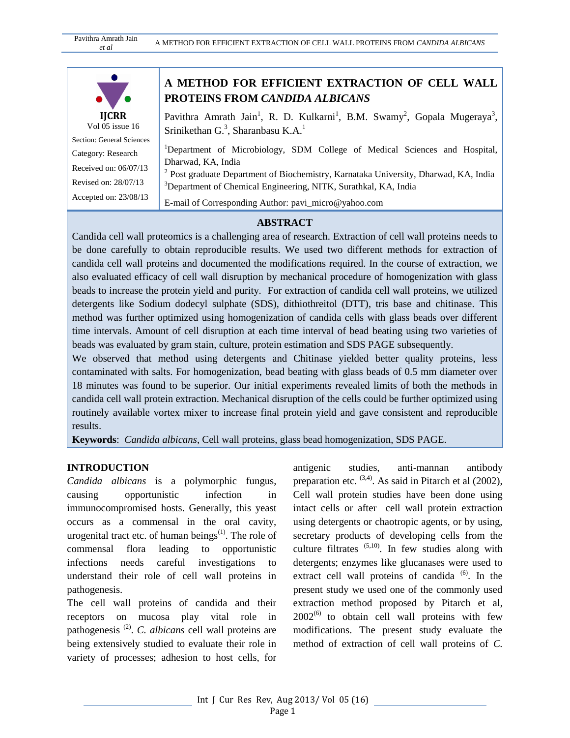

Vol 05 issue 16 Section: General Sciences Category: Research Received on: 06/07/13 Revised on: 28/07/13 Accepted on: 23/08/13

# **A METHOD FOR EFFICIENT EXTRACTION OF CELL WALL PROTEINS FROM** *CANDIDA ALBICANS*

Pavithra Amrath Jain<sup>1</sup>, R. D. Kulkarni<sup>1</sup>, B.M. Swamy<sup>2</sup>, Gopala Mugeraya<sup>3</sup>, Srinikethan G.<sup>3</sup>, Sharanbasu K.A.<sup>1</sup>

<sup>1</sup>Department of Microbiology, SDM College of Medical Sciences and Hospital, Dharwad, KA, India

<sup>2</sup> Post graduate Department of Biochemistry, Karnataka University, Dharwad, KA, India <sup>3</sup>Department of Chemical Engineering, NITK, Surathkal, KA, India

E-mail of Corresponding Author[: pavi\\_micro@yahoo.com](mailto:pavi_micro@yahoo.com)

### **ABSTRACT**

Candida cell wall proteomics is a challenging area of research. Extraction of cell wall proteins needs to be done carefully to obtain reproducible results. We used two different methods for extraction of candida cell wall proteins and documented the modifications required. In the course of extraction, we also evaluated efficacy of cell wall disruption by mechanical procedure of homogenization with glass beads to increase the protein yield and purity. For extraction of candida cell wall proteins, we utilized detergents like Sodium dodecyl sulphate (SDS), dithiothreitol (DTT), tris base and chitinase. This method was further optimized using homogenization of candida cells with glass beads over different time intervals. Amount of cell disruption at each time interval of bead beating using two varieties of beads was evaluated by gram stain, culture, protein estimation and SDS PAGE subsequently.

We observed that method using detergents and Chitinase yielded better quality proteins, less contaminated with salts. For homogenization, bead beating with glass beads of 0.5 mm diameter over 18 minutes was found to be superior. Our initial experiments revealed limits of both the methods in candida cell wall protein extraction. Mechanical disruption of the cells could be further optimized using routinely available vortex mixer to increase final protein yield and gave consistent and reproducible results.

**Keywords**: *Candida albicans*, Cell wall proteins, glass bead homogenization, SDS PAGE.

#### **INTRODUCTION**

*Candida albicans* is a polymorphic fungus, causing opportunistic infection in immunocompromised hosts. Generally, this yeast occurs as a commensal in the oral cavity, urogenital tract etc. of human beings $^{(1)}$ . The role of commensal flora leading to opportunistic infections needs careful investigations to understand their role of cell wall proteins in pathogenesis.

The cell wall proteins of candida and their receptors on mucosa play vital role in pathogenesis<sup>(2)</sup>. *C. albicans* cell wall proteins are being extensively studied to evaluate their role in variety of processes; adhesion to host cells, for

antigenic studies, anti-mannan antibody preparation etc.  $(3,4)$ . As said in Pitarch et al (2002), Cell wall protein studies have been done using intact cells or after cell wall protein extraction using detergents or chaotropic agents, or by using, secretary products of developing cells from the culture filtrates (5,10). In few studies along with detergents; enzymes like glucanases were used to extract cell wall proteins of candida <sup>(6)</sup>. In the present study we used one of the commonly used extraction method proposed by Pitarch et al,  $2002^{(6)}$  to obtain cell wall proteins with few modifications. The present study evaluate the method of extraction of cell wall proteins of *C.*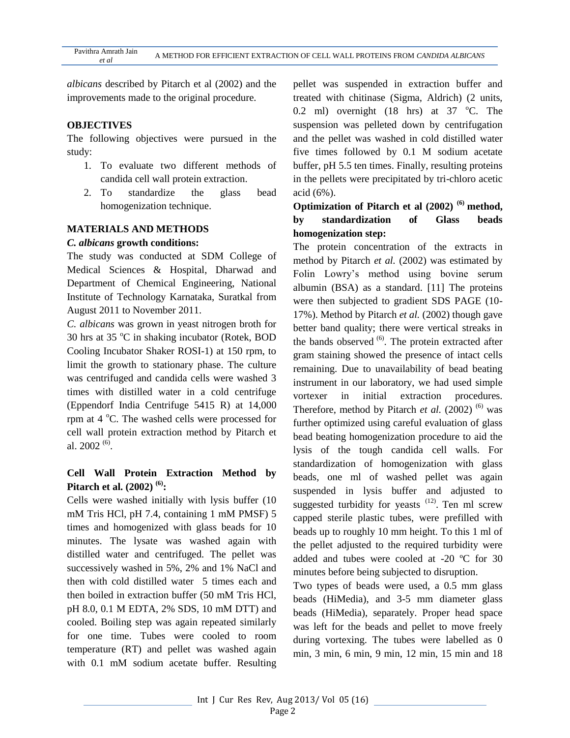*albicans* described by Pitarch et al (2002) and the improvements made to the original procedure.

# **OBJECTIVES**

The following objectives were pursued in the study:

- 1. To evaluate two different methods of candida cell wall protein extraction.
- 2. To standardize the glass bead homogenization technique.

## **MATERIALS AND METHODS**

## *C. albicans* **growth conditions:**

The study was conducted at SDM College of Medical Sciences & Hospital, Dharwad and Department of Chemical Engineering, National Institute of Technology Karnataka, Suratkal from August 2011 to November 2011.

*C. albicans* was grown in yeast nitrogen broth for 30 hrs at 35  $\mathrm{^{\circ}C}$  in shaking incubator (Rotek, BOD Cooling Incubator Shaker ROSI-1) at 150 rpm, to limit the growth to stationary phase. The culture was centrifuged and candida cells were washed 3 times with distilled water in a cold centrifuge (Eppendorf India Centrifuge 5415 R) at 14,000 rpm at  $4^{\circ}$ C. The washed cells were processed for cell wall protein extraction method by Pitarch et al. 2002  $(6)$ .

## **Cell Wall Protein Extraction Method by Pitarch et al. (2002) (6):**

Cells were washed initially with lysis buffer (10 mM Tris HCl, pH 7.4, containing 1 mM PMSF) 5 times and homogenized with glass beads for 10 minutes. The lysate was washed again with distilled water and centrifuged. The pellet was successively washed in 5%, 2% and 1% NaCl and then with cold distilled water 5 times each and then boiled in extraction buffer (50 mM Tris HCl, pH 8.0, 0.1 M EDTA, 2% SDS, 10 mM DTT) and cooled. Boiling step was again repeated similarly for one time. Tubes were cooled to room temperature (RT) and pellet was washed again with 0.1 mM sodium acetate buffer. Resulting pellet was suspended in extraction buffer and treated with chitinase (Sigma, Aldrich) (2 units, 0.2 ml) overnight  $(18 \text{ hrs})$  at  $37 \text{ °C}$ . The suspension was pelleted down by centrifugation and the pellet was washed in cold distilled water five times followed by 0.1 M sodium acetate buffer, pH 5.5 ten times. Finally, resulting proteins in the pellets were precipitated by tri-chloro acetic acid (6%).

# **Optimization of Pitarch et al (2002) (6) method, by standardization of Glass beads homogenization step:**

The protein concentration of the extracts in method by Pitarch *et al.* (2002) was estimated by Folin Lowry's method using bovine serum albumin (BSA) as a standard. [11] The proteins were then subjected to gradient SDS PAGE (10- 17%). Method by Pitarch *et al.* (2002) though gave better band quality; there were vertical streaks in the bands observed  $<sup>(6)</sup>$ . The protein extracted after</sup> gram staining showed the presence of intact cells remaining. Due to unavailability of bead beating instrument in our laboratory, we had used simple vortexer in initial extraction procedures. Therefore, method by Pitarch *et al.* (2002)  $^{(6)}$  was further optimized using careful evaluation of glass bead beating homogenization procedure to aid the lysis of the tough candida cell walls. For standardization of homogenization with glass beads, one ml of washed pellet was again suspended in lysis buffer and adjusted to suggested turbidity for yeasts  $(12)$ . Ten ml screw capped sterile plastic tubes, were prefilled with beads up to roughly 10 mm height. To this 1 ml of the pellet adjusted to the required turbidity were added and tubes were cooled at -20 ºC for 30 minutes before being subjected to disruption.

Two types of beads were used, a 0.5 mm glass beads (HiMedia), and 3-5 mm diameter glass beads (HiMedia), separately. Proper head space was left for the beads and pellet to move freely during vortexing. The tubes were labelled as 0 min, 3 min, 6 min, 9 min, 12 min, 15 min and 18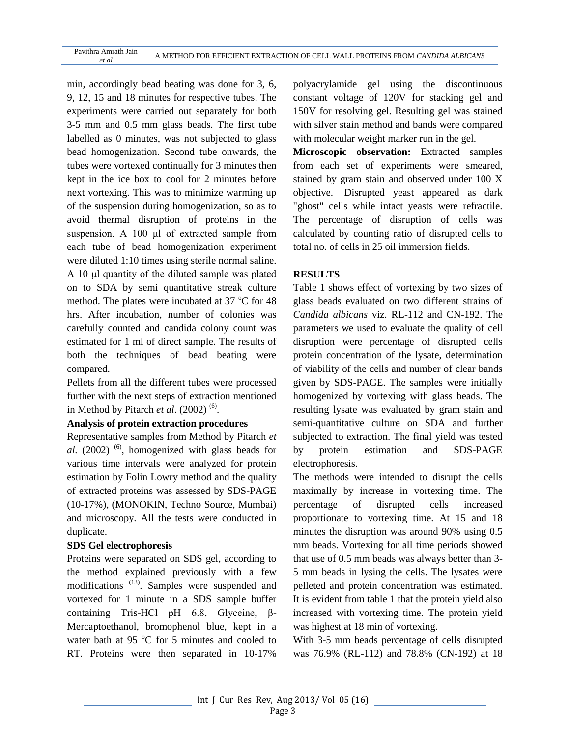min, accordingly bead beating was done for 3, 6, 9, 12, 15 and 18 minutes for respective tubes. The experiments were carried out separately for both 3-5 mm and 0.5 mm glass beads. The first tube labelled as 0 minutes, was not subjected to glass bead homogenization. Second tube onwards, the tubes were vortexed continually for 3 minutes then kept in the ice box to cool for 2 minutes before next vortexing. This was to minimize warming up of the suspension during homogenization, so as to avoid thermal disruption of proteins in the suspension. A 100 μl of extracted sample from each tube of bead homogenization experiment were diluted 1:10 times using sterile normal saline. A 10 μl quantity of the diluted sample was plated on to SDA by semi quantitative streak culture method. The plates were incubated at  $37 \degree$ C for 48 hrs. After incubation, number of colonies was carefully counted and candida colony count was estimated for 1 ml of direct sample. The results of both the techniques of bead beating were compared.

Pellets from all the different tubes were processed further with the next steps of extraction mentioned in Method by Pitarch *et al.*  $(2002)^{(6)}$ .

#### **Analysis of protein extraction procedures**

Representative samples from Method by Pitarch *et*   $al.$  (2002)<sup>(6)</sup>, homogenized with glass beads for various time intervals were analyzed for protein estimation by Folin Lowry method and the quality of extracted proteins was assessed by SDS-PAGE (10-17%), (MONOKIN, Techno Source, Mumbai) and microscopy. All the tests were conducted in duplicate.

## **SDS Gel electrophoresis**

Proteins were separated on SDS gel, according to the method explained previously with a few modifications (13). Samples were suspended and vortexed for 1 minute in a SDS sample buffer containing Tris-HCl pH 6.8, Glyceine, β-Mercaptoethanol, bromophenol blue, kept in a water bath at 95 $\degree$ C for 5 minutes and cooled to RT. Proteins were then separated in 10-17%

polyacrylamide gel using the discontinuous constant voltage of 120V for stacking gel and 150V for resolving gel. Resulting gel was stained with silver stain method and bands were compared with molecular weight marker run in the gel.

**Microscopic observation:** Extracted samples from each set of experiments were smeared, stained by gram stain and observed under 100 X objective. Disrupted yeast appeared as dark "ghost" cells while intact yeasts were refractile. The percentage of disruption of cells was calculated by counting ratio of disrupted cells to total no. of cells in 25 oil immersion fields.

## **RESULTS**

Table 1 shows effect of vortexing by two sizes of glass beads evaluated on two different strains of *Candida albicans* viz. RL-112 and CN-192. The parameters we used to evaluate the quality of cell disruption were percentage of disrupted cells protein concentration of the lysate, determination of viability of the cells and number of clear bands given by SDS-PAGE. The samples were initially homogenized by vortexing with glass beads. The resulting lysate was evaluated by gram stain and semi-quantitative culture on SDA and further subjected to extraction. The final yield was tested by protein estimation and SDS-PAGE electrophoresis.

The methods were intended to disrupt the cells maximally by increase in vortexing time. The percentage of disrupted cells increased proportionate to vortexing time. At 15 and 18 minutes the disruption was around 90% using 0.5 mm beads. Vortexing for all time periods showed that use of 0.5 mm beads was always better than 3- 5 mm beads in lysing the cells. The lysates were pelleted and protein concentration was estimated. It is evident from table 1 that the protein yield also increased with vortexing time. The protein yield was highest at 18 min of vortexing.

With 3-5 mm beads percentage of cells disrupted was 76.9% (RL-112) and 78.8% (CN-192) at 18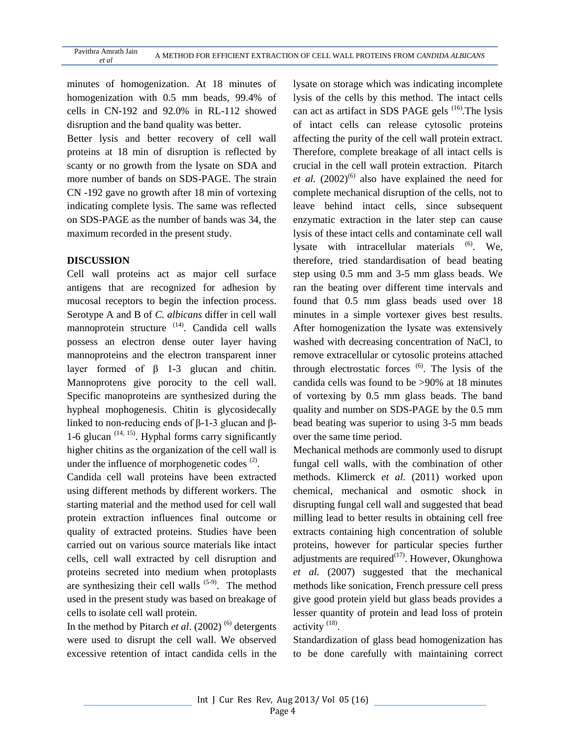minutes of homogenization. At 18 minutes of homogenization with 0.5 mm beads, 99.4% of cells in CN-192 and 92.0% in RL-112 showed disruption and the band quality was better.

Better lysis and better recovery of cell wall proteins at 18 min of disruption is reflected by scanty or no growth from the lysate on SDA and more number of bands on SDS-PAGE. The strain CN -192 gave no growth after 18 min of vortexing indicating complete lysis. The same was reflected on SDS-PAGE as the number of bands was 34, the maximum recorded in the present study.

#### **DISCUSSION**

Pavithra Amrath Jain

Cell wall proteins act as major cell surface antigens that are recognized for adhesion by mucosal receptors to begin the infection process. Serotype A and B of *C. albicans* differ in cell wall mannoprotein structure  $(14)$ . Candida cell walls possess an electron dense outer layer having mannoproteins and the electron transparent inner layer formed of β 1-3 glucan and chitin. Mannoprotens give porocity to the cell wall. Specific manoproteins are synthesized during the hypheal mophogenesis. Chitin is glycosidecally linked to non-reducing ends of β-1-3 glucan and β-1-6 glucan  $(14, 15)$ . Hyphal forms carry significantly higher chitins as the organization of the cell wall is under the influence of morphogenetic codes  $(2)$ .

Candida cell wall proteins have been extracted using different methods by different workers. The starting material and the method used for cell wall protein extraction influences final outcome or quality of extracted proteins. Studies have been carried out on various source materials like intact cells, cell wall extracted by cell disruption and proteins secreted into medium when protoplasts are synthesizing their cell walls  $(5-9)$ . The method used in the present study was based on breakage of cells to isolate cell wall protein.

In the method by Pitarch *et al.* (2002)<sup>(6)</sup> detergents were used to disrupt the cell wall. We observed excessive retention of intact candida cells in the

lysate on storage which was indicating incomplete lysis of the cells by this method. The intact cells can act as artifact in SDS PAGE gels <sup>(16)</sup>. The lysis of intact cells can release cytosolic proteins affecting the purity of the cell wall protein extract. Therefore, complete breakage of all intact cells is crucial in the cell wall protein extraction. Pitarch *et al.*  $(2002)^{(6)}$  also have explained the need for complete mechanical disruption of the cells, not to leave behind intact cells, since subsequent enzymatic extraction in the later step can cause lysis of these intact cells and contaminate cell wall lysate with intracellular materials <sup>(6)</sup>. We, therefore, tried standardisation of bead beating step using 0.5 mm and 3-5 mm glass beads. We ran the beating over different time intervals and found that 0.5 mm glass beads used over 18 minutes in a simple vortexer gives best results. After homogenization the lysate was extensively washed with decreasing concentration of NaCl, to remove extracellular or cytosolic proteins attached through electrostatic forces  $(6)$ . The lysis of the candida cells was found to be >90% at 18 minutes of vortexing by 0.5 mm glass beads. The band quality and number on SDS-PAGE by the 0.5 mm bead beating was superior to using 3-5 mm beads over the same time period.

Mechanical methods are commonly used to disrupt fungal cell walls, with the combination of other methods. Klimerck *et al.* (2011) worked upon chemical, mechanical and osmotic shock in disrupting fungal cell wall and suggested that bead milling lead to better results in obtaining cell free extracts containing high concentration of soluble proteins, however for particular species further adjustments are required $^{(17)}$ . However, Okunghowa *et al.* (2007) suggested that the mechanical methods like sonication, French pressure cell press give good protein yield but glass beads provides a lesser quantity of protein and lead loss of protein activity <sup>(18)</sup>.

Standardization of glass bead homogenization has to be done carefully with maintaining correct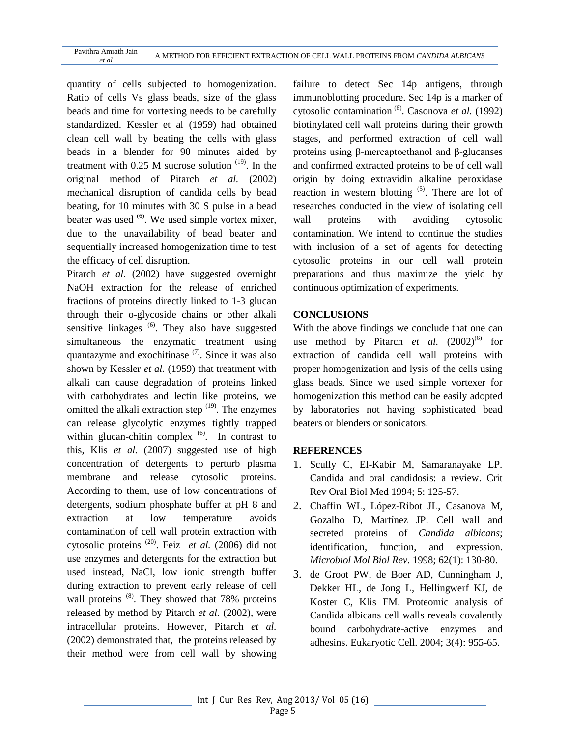quantity of cells subjected to homogenization. Ratio of cells Vs glass beads, size of the glass beads and time for vortexing needs to be carefully standardized. Kessler et al (1959) had obtained clean cell wall by beating the cells with glass beads in a blender for 90 minutes aided by treatment with  $0.25$  M sucrose solution  $(19)$ . In the original method of Pitarch *et al.* (2002) mechanical disruption of candida cells by bead beating, for 10 minutes with 30 S pulse in a bead beater was used <sup>(6)</sup>. We used simple vortex mixer, due to the unavailability of bead beater and sequentially increased homogenization time to test the efficacy of cell disruption.

Pitarch *et al.* (2002) have suggested overnight NaOH extraction for the release of enriched fractions of proteins directly linked to 1-3 glucan through their o-glycoside chains or other alkali sensitive linkages  $(6)$ . They also have suggested simultaneous the enzymatic treatment using quantazyme and exochitinase  $(7)$ . Since it was also shown by Kessler *et al.* (1959) that treatment with alkali can cause degradation of proteins linked with carbohydrates and lectin like proteins, we omitted the alkali extraction step  $(19)$ . The enzymes can release glycolytic enzymes tightly trapped within glucan-chitin complex  $(6)$ . In contrast to this, Klis *et al.* (2007) suggested use of high concentration of detergents to perturb plasma membrane and release cytosolic proteins. According to them, use of low concentrations of detergents, sodium phosphate buffer at pH 8 and extraction at low temperature avoids contamination of cell wall protein extraction with cytosolic proteins (20). Feiz *et al.* (2006) did not use enzymes and detergents for the extraction but used instead, NaCl, low ionic strength buffer during extraction to prevent early release of cell wall proteins  $(8)$ . They showed that 78% proteins released by method by Pitarch *et al.* (2002), were intracellular proteins. However, Pitarch *et al.* (2002) demonstrated that, the proteins released by their method were from cell wall by showing

failure to detect Sec 14p antigens, through immunoblotting procedure. Sec 14p is a marker of cytosolic contamination (6). Casonova *et al.* (1992) biotinylated cell wall proteins during their growth stages, and performed extraction of cell wall proteins using β-mercaptoethanol and β-glucanses and confirmed extracted proteins to be of cell wall origin by doing extravidin alkaline peroxidase reaction in western blotting  $(5)$ . There are lot of researches conducted in the view of isolating cell wall proteins with avoiding cytosolic contamination. We intend to continue the studies with inclusion of a set of agents for detecting cytosolic proteins in our cell wall protein preparations and thus maximize the yield by continuous optimization of experiments.

## **CONCLUSIONS**

With the above findings we conclude that one can use method by Pitarch *et al.*  $(2002)^{(6)}$  for extraction of candida cell wall proteins with proper homogenization and lysis of the cells using glass beads. Since we used simple vortexer for homogenization this method can be easily adopted by laboratories not having sophisticated bead beaters or blenders or sonicators.

## **REFERENCES**

- 1. Scully C, El-Kabir M, Samaranayake LP. Candida and oral candidosis: a review. Crit Rev Oral Biol Med 1994; 5: 125-57.
- 2. Chaffin WL, López-Ribot JL, Casanova M, Gozalbo D, Martínez JP. Cell wall and secreted proteins of *Candida albicans*; identification, function, and expression. *Microbiol Mol Biol Rev.* 1998; 62(1): 130-80.
- 3. de Groot PW, de Boer AD, Cunningham J, Dekker HL, de Jong L, Hellingwerf KJ, de Koster C, Klis FM. Proteomic analysis of Candida albicans cell walls reveals covalently bound carbohydrate-active enzymes and adhesins. Eukaryotic Cell. 2004; 3(4): 955-65.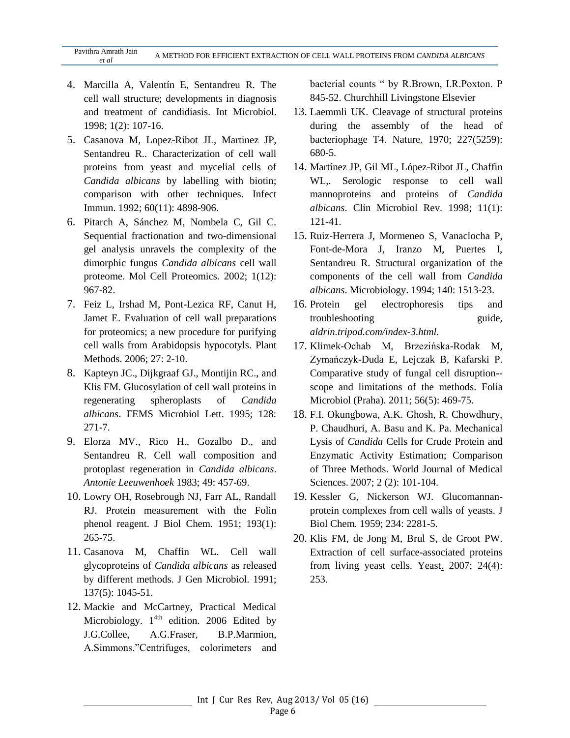- 4. Marcilla A, Valentín E, Sentandreu R. The cell wall structure; developments in diagnosis and treatment of candidiasis. Int Microbiol. 1998; 1(2): 107-16.
- 5. Casanova M, Lopez-Ribot JL, Martinez JP, Sentandreu R.. Characterization of cell wall proteins from yeast and mycelial cells of *Candida albicans* by labelling with biotin; comparison with other techniques. Infect Immun. 1992; 60(11): 4898-906.
- 6. Pitarch A, Sánchez M, Nombela C, Gil C. Sequential fractionation and two-dimensional gel analysis unravels the complexity of the dimorphic fungus *Candida albicans* cell wall proteome. Mol Cell Proteomics*.* 2002; 1(12): 967-82.
- 7. Feiz L, Irshad M, Pont-Lezica RF, Canut H, Jamet E. Evaluation of cell wall preparations for proteomics; a new procedure for purifying cell walls from Arabidopsis hypocotyls. Plant Methods. 2006; 27: 2-10.
- 8. Kapteyn JC., Dijkgraaf GJ., Montijin RC., and Klis FM. Glucosylation of cell wall proteins in regenerating spheroplasts of *Candida albicans*. FEMS Microbiol Lett. 1995; 128: 271-7.
- 9. Elorza MV., Rico H., Gozalbo D., and Sentandreu R. Cell wall composition and protoplast regeneration in *Candida albicans*. *Antonie Leeuwenhoek* 1983; 49: 457-69.
- 10. Lowry OH, Rosebrough NJ, Farr AL, Randall RJ. Protein measurement with the Folin phenol reagent. J Biol Chem. 1951; 193(1): 265-75.
- 11. Casanova M, Chaffin WL. Cell wall glycoproteins of *Candida albicans* as released by different methods. J Gen Microbiol. 1991; 137(5): 1045-51.
- 12. Mackie and McCartney, Practical Medical Microbiology.  $1^{4th}$  edition. 2006 Edited by J.G.Collee, A.G.Fraser, B.P.Marmion, A.Simmons."Centrifuges, colorimeters and

bacterial counts " by R.Brown, I.R.Poxton. P 845-52. Churchhill Livingstone Elsevier

- 13. Laemmli UK. Cleavage of structural proteins during the assembly of the head of bacteriophage T4. [Nature.](http://www.ncbi.nlm.nih.gov/pubmed?term=Cleavage%20of%20structural%20proteins%20during%20the%20assembly%20of%20the%20head%20of%20bacteriophage%20T4.%20Nature) 1970; 227(5259): 680-5.
- 14. Martínez JP, Gil ML, López-Ribot JL, Chaffin WL,. Serologic response to cell wall mannoproteins and proteins of *Candida albicans*. Clin Microbiol Rev. 1998; 11(1): 121-41.
- 15. Ruiz-Herrera J, Mormeneo S, Vanaclocha P, Font-de-Mora J, Iranzo M, Puertes I, Sentandreu R. Structural organization of the components of the cell wall from *Candida albicans*. Microbiology. 1994; 140: 1513-23.
- 16. Protein gel electrophoresis tips and troubleshooting guide, *aldrin.tripod.com/index-3.html.*
- 17. Klimek-Ochab M, Brzezińska-Rodak M, Zymańczyk-Duda E, Lejczak B, Kafarski P. Comparative study of fungal cell disruption- scope and limitations of the methods. Folia Microbiol (Praha). 2011; 56(5): 469-75.
- 18. F.I. Okungbowa, A.K. Ghosh, R. Chowdhury, P. Chaudhuri, A. Basu and K. Pa. Mechanical Lysis of *Candida* Cells for Crude Protein and Enzymatic Activity Estimation; Comparison of Three Methods. World Journal of Medical Sciences. 2007; 2 (2): 101-104.
- 19. Kessler G, Nickerson WJ. Glucomannanprotein complexes from cell walls of yeasts. J Biol Chem*.* 1959; 234: 2281-5.
- 20. Klis FM, de Jong M, Brul S, de Groot PW. Extraction of cell surface-associated proteins from living yeast cells. [Yeast.](http://www.ncbi.nlm.nih.gov/pubmed?term=Extraction%20of%20cell%20surface-associated%20proteins%20from%20living%20yeast%20cells) 2007; 24(4): 253.